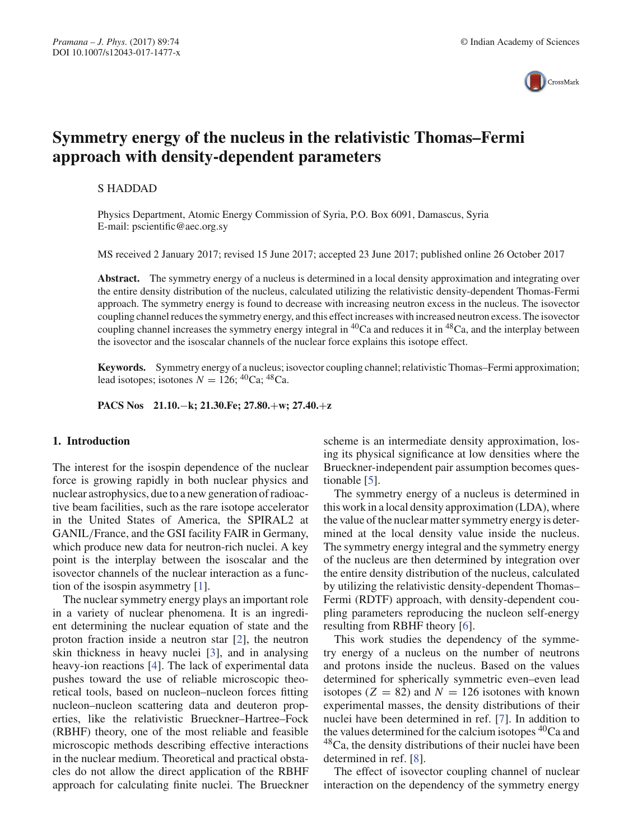

# **Symmetry energy of the nucleus in the relativistic Thomas–Fermi approach with density-dependent parameters**

## S HADDAD

Physics Department, Atomic Energy Commission of Syria, P.O. Box 6091, Damascus, Syria E-mail: pscientific@aec.org.sy

MS received 2 January 2017; revised 15 June 2017; accepted 23 June 2017; published online 26 October 2017

Abstract. The symmetry energy of a nucleus is determined in a local density approximation and integrating over the entire density distribution of the nucleus, calculated utilizing the relativistic density-dependent Thomas-Fermi approach. The symmetry energy is found to decrease with increasing neutron excess in the nucleus. The isovector coupling channel reduces the symmetry energy, and this effect increases with increased neutron excess. The isovector coupling channel increases the symmetry energy integral in 40Ca and reduces it in 48Ca, and the interplay between the isovector and the isoscalar channels of the nuclear force explains this isotope effect.

**Keywords.** Symmetry energy of a nucleus; isovector coupling channel; relativistic Thomas–Fermi approximation; lead isotopes; isotones  $N = 126$ ; <sup>40</sup>Ca; <sup>48</sup>Ca.

**PACS Nos 21.10.**−**k; 21.30.Fe; 27.80.**+**w; 27.40.**+**z**

## **1. Introduction**

The interest for the isospin dependence of the nuclear force is growing rapidly in both nuclear physics and nuclear astrophysics, due to a new generation of radioactive beam facilities, such as the rare isotope accelerator in the United States of America, the SPIRAL2 at GANIL/France, and the GSI facility FAIR in Germany, which produce new data for neutron-rich nuclei. A key point is the interplay between the isoscalar and the isovector channels of the nuclear interaction as a function of the isospin asymmetry [1].

The nuclear symmetry energy plays an important role in a variety of nuclear phenomena. It is an ingredient determining the nuclear equation of state and the proton fraction inside a neutron star [2], the neutron skin thickness in heavy nuclei [3], and in analysing heavy-ion reactions [4]. The lack of experimental data pushes toward the use of reliable microscopic theoretical tools, based on nucleon–nucleon forces fitting nucleon–nucleon scattering data and deuteron properties, like the relativistic Brueckner–Hartree–Fock (RBHF) theory, one of the most reliable and feasible microscopic methods describing effective interactions in the nuclear medium. Theoretical and practical obstacles do not allow the direct application of the RBHF approach for calculating finite nuclei. The Brueckner scheme is an intermediate density approximation, losing its physical significance at low densities where the Brueckner-independent pair assumption becomes questionable [5].

The symmetry energy of a nucleus is determined in this work in a local density approximation (LDA), where the value of the nuclear matter symmetry energy is determined at the local density value inside the nucleus. The symmetry energy integral and the symmetry energy of the nucleus are then determined by integration over the entire density distribution of the nucleus, calculated by utilizing the relativistic density-dependent Thomas– Fermi (RDTF) approach, with density-dependent coupling parameters reproducing the nucleon self-energy resulting from RBHF theory [6].

This work studies the dependency of the symmetry energy of a nucleus on the number of neutrons and protons inside the nucleus. Based on the values determined for spherically symmetric even–even lead isotopes ( $Z = 82$ ) and  $N = 126$  isotones with known experimental masses, the density distributions of their nuclei have been determined in ref. [7]. In addition to the values determined for the calcium isotopes  ${}^{40}Ca$  and 48Ca, the density distributions of their nuclei have been determined in ref. [8].

The effect of isovector coupling channel of nuclear interaction on the dependency of the symmetry energy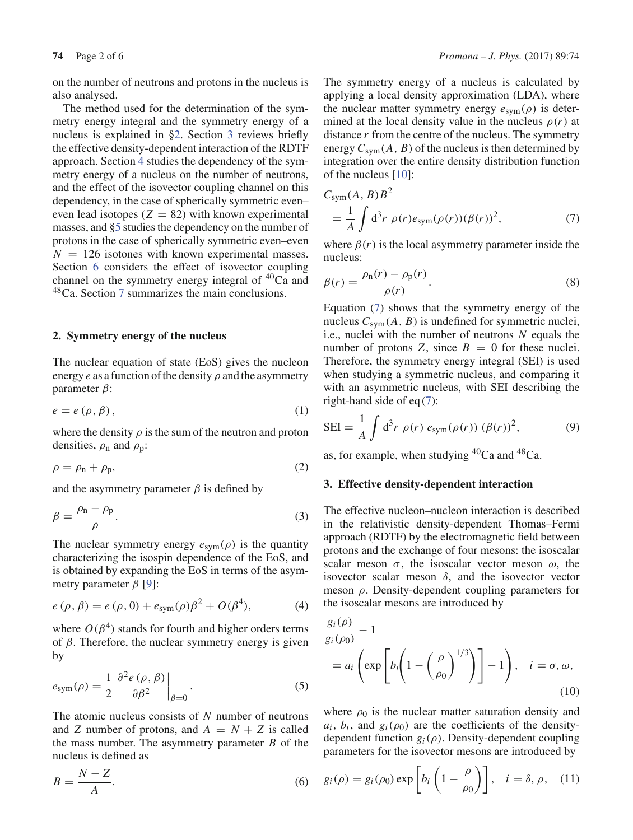on the number of neutrons and protons in the nucleus is also analysed.

The method used for the determination of the symmetry energy integral and the symmetry energy of a nucleus is explained in §2. Section 3 reviews briefly the effective density-dependent interaction of the RDTF approach. Section 4 studies the dependency of the symmetry energy of a nucleus on the number of neutrons, and the effect of the isovector coupling channel on this dependency, in the case of spherically symmetric even– even lead isotopes  $(Z = 82)$  with known experimental masses, and §5 studies the dependency on the number of protons in the case of spherically symmetric even–even  $N = 126$  isotones with known experimental masses. Section 6 considers the effect of isovector coupling channel on the symmetry energy integral of  ${}^{40}Ca$  and 48Ca. Section 7 summarizes the main conclusions.

#### **2. Symmetry energy of the nucleus**

The nuclear equation of state (EoS) gives the nucleon energy  $e$  as a function of the density  $\rho$  and the asymmetry parameter β:

$$
e = e(\rho, \beta), \tag{1}
$$

where the density  $\rho$  is the sum of the neutron and proton densities,  $\rho_n$  and  $\rho_p$ :

$$
\rho = \rho_{\rm n} + \rho_{\rm p},\tag{2}
$$

and the asymmetry parameter  $\beta$  is defined by

$$
\beta = \frac{\rho_{\rm n} - \rho_{\rm p}}{\rho}.\tag{3}
$$

The nuclear symmetry energy  $e_{sym}(\rho)$  is the quantity characterizing the isospin dependence of the EoS, and is obtained by expanding the EoS in terms of the asymmetry parameter  $β$  [9]:

$$
e(\rho, \beta) = e(\rho, 0) + e_{sym}(\rho)\beta^{2} + O(\beta^{4}),
$$
 (4)

where  $O(\beta^4)$  stands for fourth and higher orders terms of  $\beta$ . Therefore, the nuclear symmetry energy is given by

$$
e_{\text{sym}}(\rho) = \frac{1}{2} \left. \frac{\partial^2 e(\rho, \beta)}{\partial \beta^2} \right|_{\beta=0} . \tag{5}
$$

The atomic nucleus consists of *N* number of neutrons and *Z* number of protons, and  $A = N + Z$  is called the mass number. The asymmetry parameter *B* of the nucleus is defined as

$$
B = \frac{N - Z}{A}.\tag{6}
$$

The symmetry energy of a nucleus is calculated by applying a local density approximation (LDA), where the nuclear matter symmetry energy  $e_{sym}(\rho)$  is determined at the local density value in the nucleus  $\rho(r)$  at distance *r* from the centre of the nucleus. The symmetry energy  $C_{sym}(A, B)$  of the nucleus is then determined by integration over the entire density distribution function of the nucleus [10]:

$$
C_{sym}(A, B)B2
$$
  
= 
$$
\frac{1}{A} \int d3r \rho(r)e_{sym}(\rho(r))(\beta(r))^{2},
$$
 (7)

where  $\beta(r)$  is the local asymmetry parameter inside the nucleus:

$$
\beta(r) = \frac{\rho_{\rm n}(r) - \rho_{\rm p}(r)}{\rho(r)}.
$$
\n(8)

Equation (7) shows that the symmetry energy of the nucleus  $C_{sym}(A, B)$  is undefined for symmetric nuclei, i.e., nuclei with the number of neutrons *N* equals the number of protons *Z*, since  $B = 0$  for these nuclei. Therefore, the symmetry energy integral (SEI) is used when studying a symmetric nucleus, and comparing it with an asymmetric nucleus, with SEI describing the right-hand side of eq (7):

$$
SEI = \frac{1}{A} \int d^3r \; \rho(r) \; e_{sym}(\rho(r)) \; (\beta(r))^2, \tag{9}
$$

as, for example, when studying  ${}^{40}Ca$  and  ${}^{48}Ca$ .

#### **3. Effective density-dependent interaction**

The effective nucleon–nucleon interaction is described in the relativistic density-dependent Thomas–Fermi approach (RDTF) by the electromagnetic field between protons and the exchange of four mesons: the isoscalar scalar meson  $\sigma$ , the isoscalar vector meson  $\omega$ , the isovector scalar meson  $\delta$ , and the isovector vector meson  $\rho$ . Density-dependent coupling parameters for the isoscalar mesons are introduced by

$$
\frac{g_i(\rho)}{g_i(\rho_0)} - 1
$$
  
=  $a_i \left( \exp \left[ b_i \left( 1 - \left( \frac{\rho}{\rho_0} \right)^{1/3} \right) \right] - 1 \right), \quad i = \sigma, \omega,$  (10)

where  $\rho_0$  is the nuclear matter saturation density and  $a_i$ ,  $b_i$ , and  $g_i(\rho_0)$  are the coefficients of the densitydependent function *gi*(ρ). Density-dependent coupling parameters for the isovector mesons are introduced by

$$
g_i(\rho) = g_i(\rho_0) \exp\left[b_i\left(1 - \frac{\rho}{\rho_0}\right)\right], \quad i = \delta, \rho, \quad (11)
$$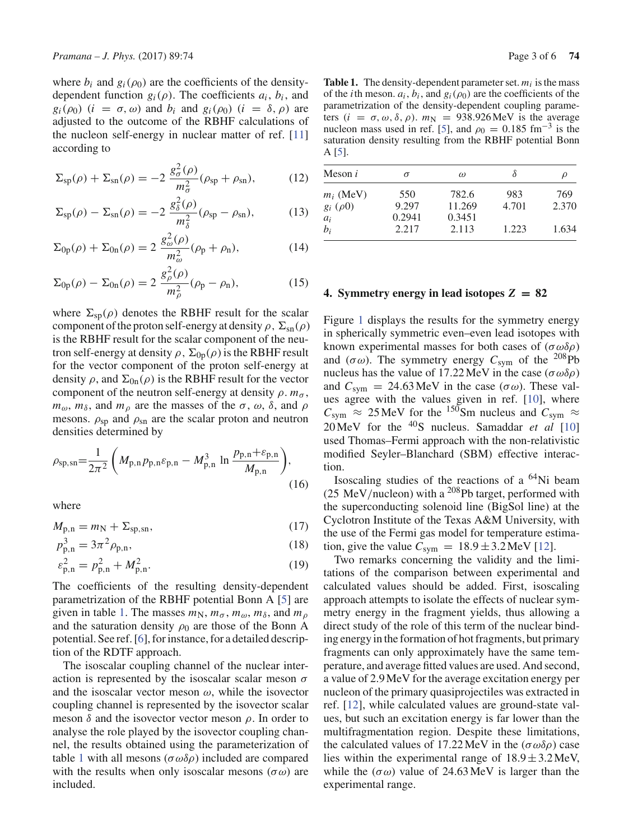where  $b_i$  and  $g_i(\rho_0)$  are the coefficients of the densitydependent function  $g_i(\rho)$ . The coefficients  $a_i$ ,  $b_i$ , and  $g_i(\rho_0)$  (*i* =  $\sigma$ ,  $\omega$ ) and  $b_i$  and  $g_i(\rho_0)$  (*i* =  $\delta$ ,  $\rho$ ) are adjusted to the outcome of the RBHF calculations of the nucleon self-energy in nuclear matter of ref. [11] according to

$$
\Sigma_{\rm sp}(\rho) + \Sigma_{\rm sn}(\rho) = -2 \frac{g_{\sigma}^2(\rho)}{m_{\sigma}^2} (\rho_{\rm sp} + \rho_{\rm sn}), \tag{12}
$$

$$
\Sigma_{\rm sp}(\rho) - \Sigma_{\rm sn}(\rho) = -2 \frac{g_{\delta}^2(\rho)}{m_{\delta}^2} (\rho_{\rm sp} - \rho_{\rm sn}), \qquad (13)
$$

$$
\Sigma_{0p}(\rho) + \Sigma_{0n}(\rho) = 2 \frac{g_{\omega}^2(\rho)}{m_{\omega}^2} (\rho_{p} + \rho_{n}), \qquad (14)
$$

$$
\Sigma_{0p}(\rho) - \Sigma_{0n}(\rho) = 2 \frac{g_{\rho}^{2}(\rho)}{m_{\rho}^{2}} (\rho_{p} - \rho_{n}), \qquad (15)
$$

where  $\Sigma_{\rm SD}(\rho)$  denotes the RBHF result for the scalar component of the proton self-energy at density  $\rho$ ,  $\Sigma_{\rm sn}(\rho)$ is the RBHF result for the scalar component of the neutron self-energy at density  $\rho$ ,  $\Sigma_{0p}(\rho)$  is the RBHF result for the vector component of the proton self-energy at density  $\rho$ , and  $\Sigma_{0n}(\rho)$  is the RBHF result for the vector component of the neutron self-energy at density  $\rho$ .  $m_{\sigma}$ ,  $m_{\omega}$ ,  $m_{\delta}$ , and  $m_{\rho}$  are the masses of the  $\sigma$ ,  $\omega$ ,  $\delta$ , and  $\rho$ mesons.  $\rho_{sp}$  and  $\rho_{sn}$  are the scalar proton and neutron densities determined by

$$
\rho_{\rm sp, sn} = \frac{1}{2\pi^2} \left( M_{\rm p, n} p_{\rm p, n} \varepsilon_{\rm p, n} - M_{\rm p, n}^3 \ln \frac{p_{\rm p, n} + \varepsilon_{\rm p, n}}{M_{\rm p, n}} \right),\tag{16}
$$

where

$$
M_{p,n} = m_N + \Sigma_{\text{sp},\text{sn}},\tag{17}
$$

$$
p_{p,n}^3 = 3\pi^2 \rho_{p,n},\tag{18}
$$

$$
\varepsilon_{\mathbf{p},\mathbf{n}}^2 = p_{\mathbf{p},\mathbf{n}}^2 + M_{\mathbf{p},\mathbf{n}}^2. \tag{19}
$$

The coefficients of the resulting density-dependent parametrization of the RBHF potential Bonn A [5] are given in table 1. The masses  $m_N$ ,  $m_\sigma$ ,  $m_\omega$ ,  $m_\delta$ , and  $m_\rho$ and the saturation density  $\rho_0$  are those of the Bonn A potential. See ref. [6], for instance, for a detailed description of the RDTF approach.

The isoscalar coupling channel of the nuclear interaction is represented by the isoscalar scalar meson  $\sigma$ and the isoscalar vector meson  $\omega$ , while the isovector coupling channel is represented by the isovector scalar meson  $\delta$  and the isovector vector meson  $\rho$ . In order to analyse the role played by the isovector coupling channel, the results obtained using the parameterization of table 1 with all mesons ( $\sigma \omega \delta \rho$ ) included are compared with the results when only isoscalar mesons ( $\sigma \omega$ ) are included.

**Table 1.** The density-dependent parameter set.  $m_i$  is the mass of the *i*th meson.  $a_i$ ,  $b_i$ , and  $g_i(\rho_0)$  are the coefficients of the parametrization of the density-dependent coupling parameters  $(i = \sigma, \omega, \delta, \rho)$ .  $m_N = 938.926 \text{MeV}$  is the average nucleon mass used in ref. [5], and  $\rho_0 = 0.185$  fm<sup>-3</sup> is the saturation density resulting from the RBHF potential Bonn A [5].

| Meson $i$     | σ      | $\omega$ | δ     | D     |
|---------------|--------|----------|-------|-------|
| $m_i$ (MeV)   | 550    | 782.6    | 983   | 769   |
| $g_i(\rho 0)$ | 9.297  | 11.269   | 4.701 | 2.370 |
| $a_i$         | 0.2941 | 0.3451   |       |       |
| b;            | 2.217  | 2.113    | 1.223 | 1.634 |

#### **4. Symmetry energy in lead isotopes** *Z* **= 82**

Figure 1 displays the results for the symmetry energy in spherically symmetric even–even lead isotopes with known experimental masses for both cases of  $(\sigma \omega \delta \rho)$ and  $(\sigma \omega)$ . The symmetry energy  $C_{sym}$  of the <sup>208</sup>Pb nucleus has the value of 17.22 MeV in the case (σωδρ) and  $C_{sym} = 24.63 \,\text{MeV}$  in the case ( $\sigma \omega$ ). These values agree with the values given in ref. [10], where  $C_{sym} \approx 25 \text{ MeV}$  for the <sup>150</sup>Sm nucleus and  $C_{sym} \approx$ 20 MeV for the 40S nucleus. Samaddar *et al* [10] used Thomas–Fermi approach with the non-relativistic modified Seyler–Blanchard (SBM) effective interaction.

Isoscaling studies of the reactions of a  ${}^{64}$ Ni beam (25 MeV/nucleon) with a  $^{208}$ Pb target, performed with the superconducting solenoid line (BigSol line) at the Cyclotron Institute of the Texas A&M University, with the use of the Fermi gas model for temperature estimation, give the value  $C_{sym} = 18.9 \pm 3.2 \,\text{MeV}$  [12].

Two remarks concerning the validity and the limitations of the comparison between experimental and calculated values should be added. First, isoscaling approach attempts to isolate the effects of nuclear symmetry energy in the fragment yields, thus allowing a direct study of the role of this term of the nuclear binding energy in the formation of hot fragments, but primary fragments can only approximately have the same temperature, and average fitted values are used. And second, a value of 2.9 MeV for the average excitation energy per nucleon of the primary quasiprojectiles was extracted in ref. [12], while calculated values are ground-state values, but such an excitation energy is far lower than the multifragmentation region. Despite these limitations, the calculated values of 17.22 MeV in the ( $\sigma \omega \delta \rho$ ) case lies within the experimental range of  $18.9 \pm 3.2$  MeV, while the  $(\sigma \omega)$  value of 24.63 MeV is larger than the experimental range.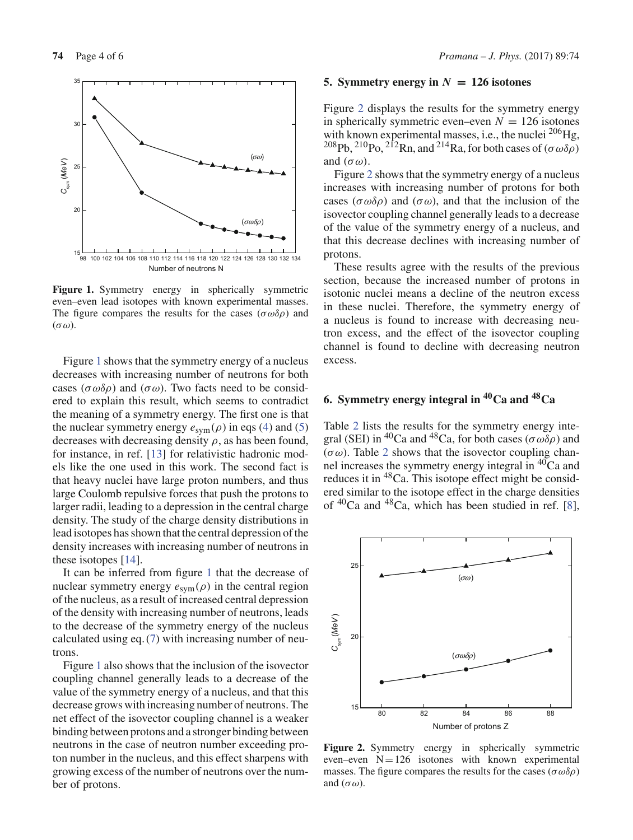

Figure 1. Symmetry energy in spherically symmetric even–even lead isotopes with known experimental masses. The figure compares the results for the cases ( $\sigma \omega \delta \rho$ ) and  $(\sigma \omega)$ .

Figure 1 shows that the symmetry energy of a nucleus decreases with increasing number of neutrons for both cases ( $\sigma \omega \delta \rho$ ) and ( $\sigma \omega$ ). Two facts need to be considered to explain this result, which seems to contradict the meaning of a symmetry energy. The first one is that the nuclear symmetry energy  $e_{sym}(\rho)$  in eqs (4) and (5) decreases with decreasing density  $\rho$ , as has been found, for instance, in ref. [13] for relativistic hadronic models like the one used in this work. The second fact is that heavy nuclei have large proton numbers, and thus large Coulomb repulsive forces that push the protons to larger radii, leading to a depression in the central charge density. The study of the charge density distributions in lead isotopes has shown that the central depression of the density increases with increasing number of neutrons in these isotopes [14].

It can be inferred from figure 1 that the decrease of nuclear symmetry energy  $e_{sym}(\rho)$  in the central region of the nucleus, as a result of increased central depression of the density with increasing number of neutrons, leads to the decrease of the symmetry energy of the nucleus calculated using eq. (7) with increasing number of neutrons.

Figure 1 also shows that the inclusion of the isovector coupling channel generally leads to a decrease of the value of the symmetry energy of a nucleus, and that this decrease grows with increasing number of neutrons. The net effect of the isovector coupling channel is a weaker binding between protons and a stronger binding between neutrons in the case of neutron number exceeding proton number in the nucleus, and this effect sharpens with growing excess of the number of neutrons over the number of protons.

#### **5. Symmetry energy in**  $N = 126$  isotones

Figure 2 displays the results for the symmetry energy in spherically symmetric even–even  $N = 126$  isotones with known experimental masses, i.e., the nuclei <sup>206</sup>Hg, <sup>208</sup>Pb, <sup>210</sup>Po, <sup>212</sup>Rn, and <sup>214</sup>Ra, for both cases of ( $\sigma \omega \delta \rho$ ) and  $(\sigma \omega)$ .

Figure 2 shows that the symmetry energy of a nucleus increases with increasing number of protons for both cases ( $\sigma \omega \delta \rho$ ) and ( $\sigma \omega$ ), and that the inclusion of the isovector coupling channel generally leads to a decrease of the value of the symmetry energy of a nucleus, and that this decrease declines with increasing number of protons.

These results agree with the results of the previous section, because the increased number of protons in isotonic nuclei means a decline of the neutron excess in these nuclei. Therefore, the symmetry energy of a nucleus is found to increase with decreasing neutron excess, and the effect of the isovector coupling channel is found to decline with decreasing neutron excess.

# **6. Symmetry energy integral in 40Ca and 48Ca**

Table 2 lists the results for the symmetry energy integral (SEI) in <sup>40</sup>Ca and <sup>48</sup>Ca, for both cases ( $\sigma \omega \delta \rho$ ) and  $(\sigma \omega)$ . Table 2 shows that the isovector coupling channel increases the symmetry energy integral in  $40^{\circ}$ Ca and reduces it in <sup>48</sup>Ca. This isotope effect might be considered similar to the isotope effect in the charge densities of  ${}^{40}Ca$  and  ${}^{48}Ca$ , which has been studied in ref. [8],



Figure 2. Symmetry energy in spherically symmetric even–even  $N=126$  isotones with known experimental masses. The figure compares the results for the cases ( $\sigma \omega \delta \rho$ ) and  $(\sigma \omega)$ .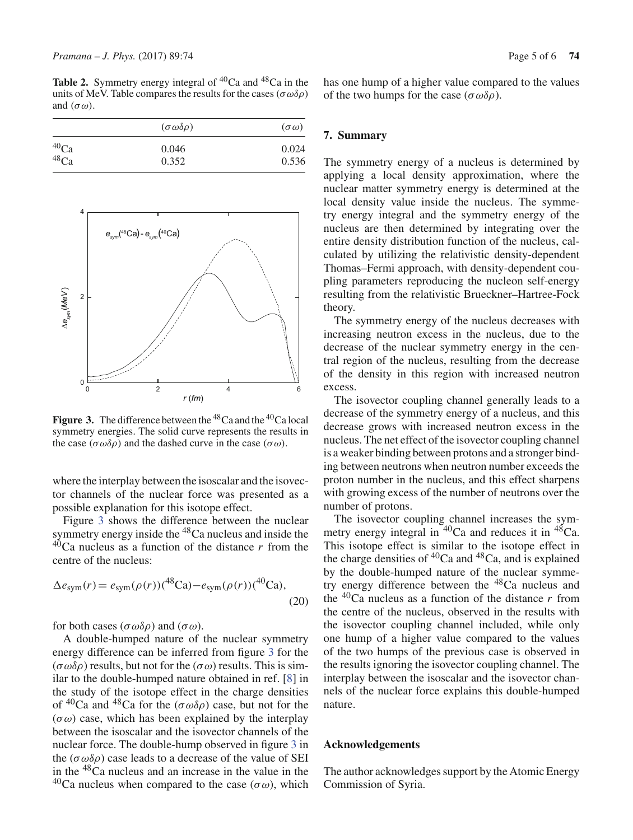**Table 2.** Symmetry energy integral of  ${}^{40}$ Ca and  ${}^{48}$ Ca in the units of MeV. Table compares the results for the cases ( $\sigma \omega \delta \rho$ ) and  $(\sigma \omega)$ .

| $(\sigma \omega \delta \rho)$ | $(\sigma \omega)$ |  |
|-------------------------------|-------------------|--|
| 0.046                         | 0.024             |  |
| 0.352                         | 0.536             |  |
|                               |                   |  |



**Figure 3.** The difference between the <sup>48</sup>Ca and the <sup>40</sup>Ca local symmetry energies. The solid curve represents the results in the case  $(\sigma \omega \delta \rho)$  and the dashed curve in the case  $(\sigma \omega)$ .

where the interplay between the isoscalar and the isovector channels of the nuclear force was presented as a possible explanation for this isotope effect.

Figure 3 shows the difference between the nuclear symmetry energy inside the <sup>48</sup>Ca nucleus and inside the  $40$ Ca nucleus as a function of the distance  $r$  from the centre of the nucleus:

$$
\Delta e_{\text{sym}}(r) = e_{\text{sym}}(\rho(r))\left(^{48}\text{Ca}\right) - e_{\text{sym}}(\rho(r))\left(^{40}\text{Ca}\right),\tag{20}
$$

for both cases (σωδρ) and (σω).

A double-humped nature of the nuclear symmetry energy difference can be inferred from figure 3 for the  $(\sigma \omega \delta \rho)$  results, but not for the  $(\sigma \omega)$  results. This is similar to the double-humped nature obtained in ref. [8] in the study of the isotope effect in the charge densities of  ${}^{40}Ca$  and  ${}^{48}Ca$  for the  $(\sigma\omega\delta\rho)$  case, but not for the  $(\sigma \omega)$  case, which has been explained by the interplay between the isoscalar and the isovector channels of the nuclear force. The double-hump observed in figure 3 in the ( $\sigma \omega \delta \rho$ ) case leads to a decrease of the value of SEI in the 48Ca nucleus and an increase in the value in the <sup>40</sup>Ca nucleus when compared to the case (σω), which has one hump of a higher value compared to the values of the two humps for the case  $(\sigma \omega \delta \rho)$ .

## **7. Summary**

The symmetry energy of a nucleus is determined by applying a local density approximation, where the nuclear matter symmetry energy is determined at the local density value inside the nucleus. The symmetry energy integral and the symmetry energy of the nucleus are then determined by integrating over the entire density distribution function of the nucleus, calculated by utilizing the relativistic density-dependent Thomas–Fermi approach, with density-dependent coupling parameters reproducing the nucleon self-energy resulting from the relativistic Brueckner–Hartree-Fock theory.

The symmetry energy of the nucleus decreases with increasing neutron excess in the nucleus, due to the decrease of the nuclear symmetry energy in the central region of the nucleus, resulting from the decrease of the density in this region with increased neutron excess.

The isovector coupling channel generally leads to a decrease of the symmetry energy of a nucleus, and this decrease grows with increased neutron excess in the nucleus. The net effect of the isovector coupling channel is a weaker binding between protons and a stronger binding between neutrons when neutron number exceeds the proton number in the nucleus, and this effect sharpens with growing excess of the number of neutrons over the number of protons.

The isovector coupling channel increases the symmetry energy integral in <sup>40</sup>Ca and reduces it in <sup>48</sup>Ca. This isotope effect is similar to the isotope effect in the charge densities of  ${}^{40}$ Ca and  ${}^{48}$ Ca, and is explained by the double-humped nature of the nuclear symmetry energy difference between the 48Ca nucleus and the  $40$ Ca nucleus as a function of the distance  $r$  from the centre of the nucleus, observed in the results with the isovector coupling channel included, while only one hump of a higher value compared to the values of the two humps of the previous case is observed in the results ignoring the isovector coupling channel. The interplay between the isoscalar and the isovector channels of the nuclear force explains this double-humped nature.

#### **Acknowledgements**

The author acknowledges support by the Atomic Energy Commission of Syria.